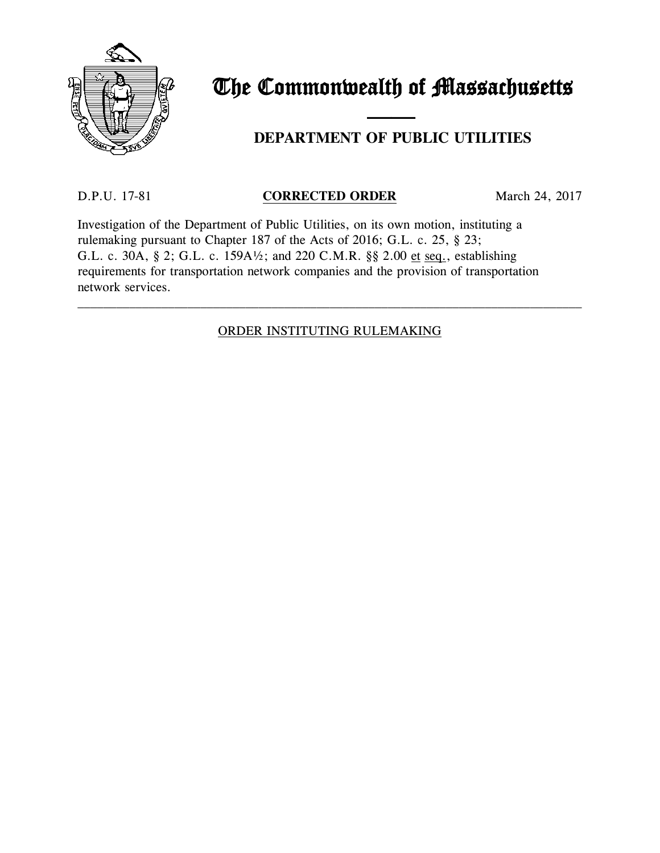

# The Commonwealth of Massachusetts

# and the contract of the contract of **DEPARTMENT OF PUBLIC UTILITIES**

# D.P.U. 17-81 **CORRECTED ORDER** March 24, 2017

Investigation of the Department of Public Utilities, on its own motion, instituting a rulemaking pursuant to Chapter 187 of the Acts of 2016; G.L. c. 25, § 23; G.L. c. 30A, § 2; G.L. c. 159A½; and 220 C.M.R. §§ 2.00 et seq., establishing requirements for transportation network companies and the provision of transportation network services.

# ORDER INSTITUTING RULEMAKING

\_\_\_\_\_\_\_\_\_\_\_\_\_\_\_\_\_\_\_\_\_\_\_\_\_\_\_\_\_\_\_\_\_\_\_\_\_\_\_\_\_\_\_\_\_\_\_\_\_\_\_\_\_\_\_\_\_\_\_\_\_\_\_\_\_\_\_\_\_\_\_\_\_\_\_\_\_\_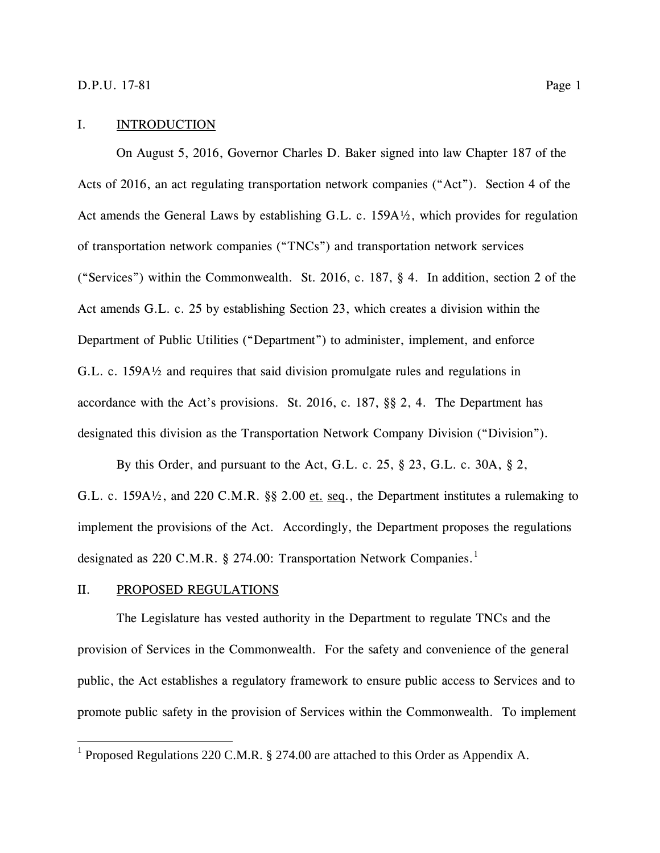#### I. INTRODUCTION

On August 5, 2016, Governor Charles D. Baker signed into law Chapter 187 of the Acts of 2016, an act regulating transportation network companies ("Act"). Section 4 of the Act amends the General Laws by establishing G.L. c. 159A½, which provides for regulation of transportation network companies ("TNCs") and transportation network services ("Services") within the Commonwealth. St. 2016, c. 187, § 4. In addition, section 2 of the Act amends G.L. c. 25 by establishing Section 23, which creates a division within the Department of Public Utilities ("Department") to administer, implement, and enforce G.L. c. 159A½ and requires that said division promulgate rules and regulations in accordance with the Act's provisions. St. 2016, c. 187, §§ 2, 4. The Department has designated this division as the Transportation Network Company Division ("Division").

By this Order, and pursuant to the Act, G.L. c. 25, § 23, G.L. c. 30A, § 2, G.L. c. 159A½, and 220 C.M.R. §§ 2.00 et. seq., the Department institutes a rulemaking to implement the provisions of the Act. Accordingly, the Department proposes the regulations designated as 220 C.M.R. § 274.00: Transportation Network Companies.<sup>[1](#page-1-0)</sup>

#### II. PROPOSED REGULATIONS

 $\overline{a}$ 

The Legislature has vested authority in the Department to regulate TNCs and the provision of Services in the Commonwealth. For the safety and convenience of the general public, the Act establishes a regulatory framework to ensure public access to Services and to promote public safety in the provision of Services within the Commonwealth. To implement

<span id="page-1-0"></span><sup>1</sup> Proposed Regulations 220 C.M.R. § 274.00 are attached to this Order as Appendix A.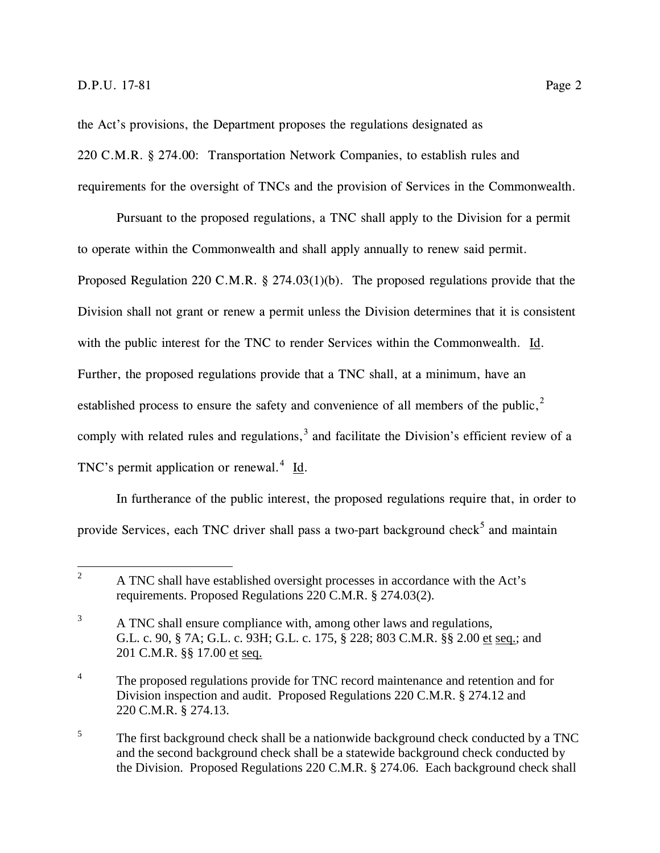the Act's provisions, the Department proposes the regulations designated as 220 C.M.R. § 274.00: Transportation Network Companies, to establish rules and requirements for the oversight of TNCs and the provision of Services in the Commonwealth.

Pursuant to the proposed regulations, a TNC shall apply to the Division for a permit to operate within the Commonwealth and shall apply annually to renew said permit. Proposed Regulation 220 C.M.R. § 274.03(1)(b). The proposed regulations provide that the Division shall not grant or renew a permit unless the Division determines that it is consistent with the public interest for the TNC to render Services within the Commonwealth. Id. Further, the proposed regulations provide that a TNC shall, at a minimum, have an established process to ensure the safety and convenience of all members of the public, $<sup>2</sup>$  $<sup>2</sup>$  $<sup>2</sup>$ </sup> comply with related rules and regulations, $3$  and facilitate the Division's efficient review of a TNC's permit application or renewal.<sup>[4](#page-2-2)</sup> Id.

In furtherance of the public interest, the proposed regulations require that, in order to provide Services, each TNC driver shall pass a two-part background check<sup>[5](#page-2-3)</sup> and maintain

<span id="page-2-0"></span><sup>2</sup> A TNC shall have established oversight processes in accordance with the Act's requirements. Proposed Regulations 220 C.M.R. § 274.03(2).  $\overline{2}$ 

<span id="page-2-1"></span><sup>&</sup>lt;sup>3</sup> A TNC shall ensure compliance with, among other laws and regulations, G.L. c. 90, § 7A; G.L. c. 93H; G.L. c. 175, § 228; 803 C.M.R. §§ 2.00 et seq.; and 201 C.M.R. §§ 17.00 et seq.

<span id="page-2-2"></span><sup>&</sup>lt;sup>4</sup> The proposed regulations provide for TNC record maintenance and retention and for Division inspection and audit. Proposed Regulations 220 C.M.R. § 274.12 and 220 C.M.R. § 274.13.

<span id="page-2-3"></span><sup>&</sup>lt;sup>5</sup> The first background check shall be a nationwide background check conducted by a TNC and the second background check shall be a statewide background check conducted by the Division. Proposed Regulations 220 C.M.R. § 274.06. Each background check shall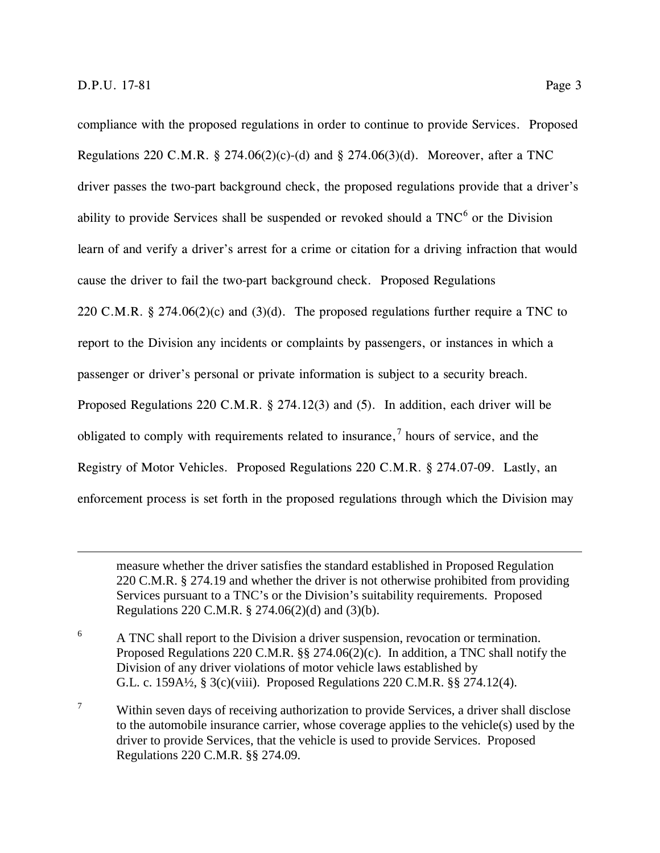$\overline{a}$ 

compliance with the proposed regulations in order to continue to provide Services. Proposed Regulations 220 C.M.R. § 274.06(2)(c)-(d) and § 274.06(3)(d). Moreover, after a TNC driver passes the two-part background check, the proposed regulations provide that a driver's ability to provide Services shall be suspended or revoked should a  $TNC<sup>6</sup>$  $TNC<sup>6</sup>$  $TNC<sup>6</sup>$  or the Division learn of and verify a driver's arrest for a crime or citation for a driving infraction that would cause the driver to fail the two-part background check. Proposed Regulations 220 C.M.R. § 274.06(2)(c) and (3)(d). The proposed regulations further require a TNC to report to the Division any incidents or complaints by passengers, or instances in which a passenger or driver's personal or private information is subject to a security breach. Proposed Regulations 220 C.M.R. § 274.12(3) and (5). In addition, each driver will be obligated to comply with requirements related to insurance,<sup>[7](#page-3-1)</sup> hours of service, and the Registry of Motor Vehicles. Proposed Regulations 220 C.M.R. § 274.07-09. Lastly, an enforcement process is set forth in the proposed regulations through which the Division may

measure whether the driver satisfies the standard established in Proposed Regulation 220 C.M.R. § 274.19 and whether the driver is not otherwise prohibited from providing Services pursuant to a TNC's or the Division's suitability requirements. Proposed Regulations 220 C.M.R. § 274.06(2)(d) and (3)(b).

- <span id="page-3-0"></span><sup>6</sup> A TNC shall report to the Division a driver suspension, revocation or termination. Proposed Regulations 220 C.M.R. §§ 274.06(2)(c). In addition, a TNC shall notify the Division of any driver violations of motor vehicle laws established by G.L. c. 159A½, § 3(c)(viii). Proposed Regulations 220 C.M.R. §§ 274.12(4).
- <span id="page-3-1"></span> $7$  Within seven days of receiving authorization to provide Services, a driver shall disclose to the automobile insurance carrier, whose coverage applies to the vehicle(s) used by the driver to provide Services, that the vehicle is used to provide Services. Proposed Regulations 220 C.M.R. §§ 274.09.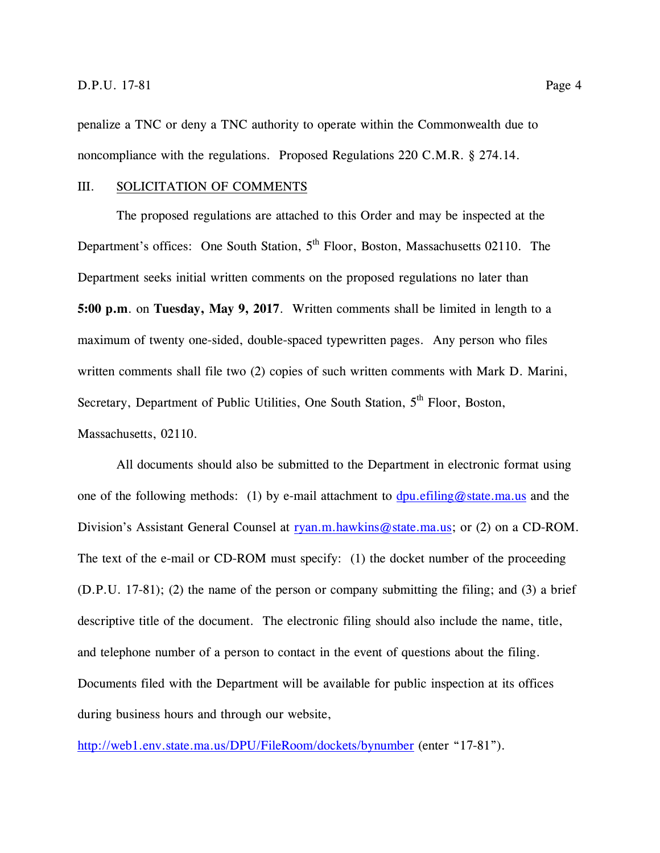penalize a TNC or deny a TNC authority to operate within the Commonwealth due to noncompliance with the regulations. Proposed Regulations 220 C.M.R. § 274.14.

#### III. SOLICITATION OF COMMENTS

The proposed regulations are attached to this Order and may be inspected at the Department's offices: One South Station,  $5<sup>th</sup>$  Floor, Boston, Massachusetts 02110. The Department seeks initial written comments on the proposed regulations no later than **5:00 p.m**. on **Tuesday, May 9, 2017**. Written comments shall be limited in length to a maximum of twenty one-sided, double-spaced typewritten pages. Any person who files written comments shall file two (2) copies of such written comments with Mark D. Marini, Secretary, Department of Public Utilities, One South Station,  $5<sup>th</sup>$  Floor, Boston, Massachusetts, 02110.

All documents should also be submitted to the Department in electronic format using one of the following methods: (1) by e-mail attachment to [dpu.efiling@state.ma.us](mailto:dpu.efiling@state.ma.us) and the Division's Assistant General Counsel at ryan.m.hawkins@state.ma.us; or (2) on a CD-ROM. The text of the e-mail or CD-ROM must specify: (1) the docket number of the proceeding (D.P.U. 17-81); (2) the name of the person or company submitting the filing; and (3) a brief descriptive title of the document. The electronic filing should also include the name, title, and telephone number of a person to contact in the event of questions about the filing. Documents filed with the Department will be available for public inspection at its offices during business hours and through our website,

<http://web1.env.state.ma.us/DPU/FileRoom/dockets/bynumber> (enter "17-81").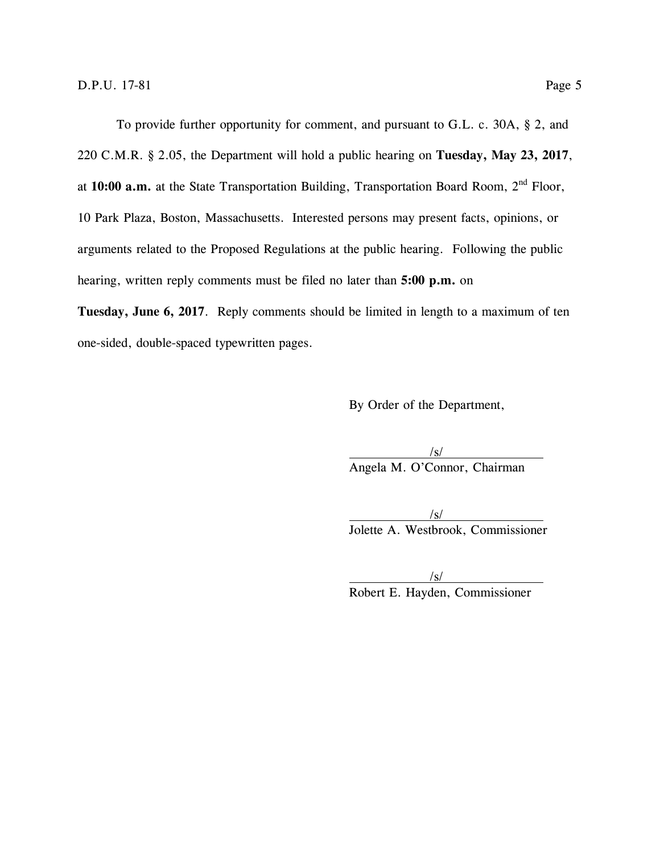To provide further opportunity for comment, and pursuant to G.L. c. 30A, § 2, and 220 C.M.R. § 2.05, the Department will hold a public hearing on **Tuesday, May 23, 2017**, at **10:00 a.m.** at the State Transportation Building, Transportation Board Room, 2nd Floor, 10 Park Plaza, Boston, Massachusetts. Interested persons may present facts, opinions, or arguments related to the Proposed Regulations at the public hearing. Following the public hearing, written reply comments must be filed no later than **5:00 p.m.** on

**Tuesday, June 6, 2017**. Reply comments should be limited in length to a maximum of ten one-sided, double-spaced typewritten pages.

By Order of the Department,

/s/ Angela M. O'Connor, Chairman

/s/ Jolette A. Westbrook, Commissioner

 $\sqrt{s}$ / Robert E. Hayden, Commissioner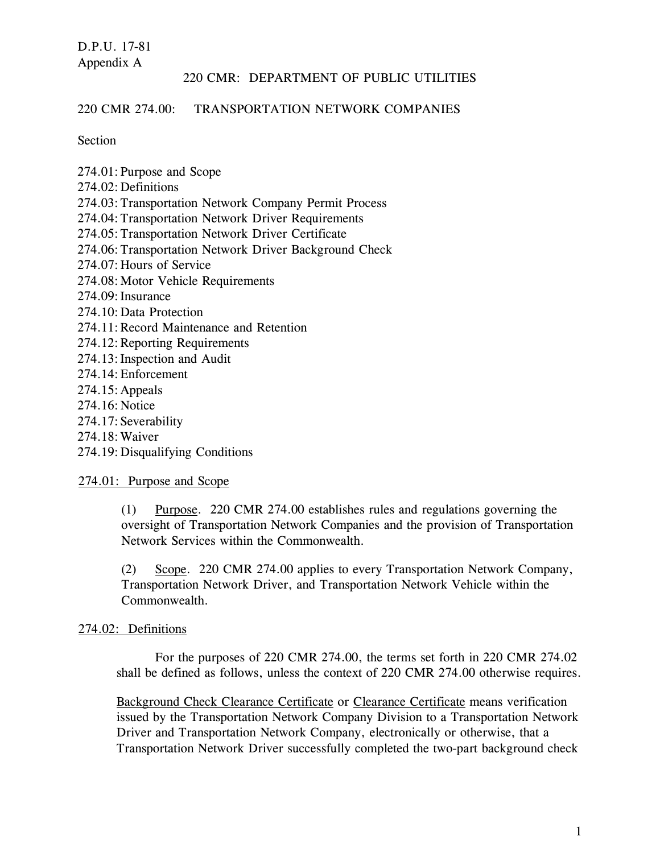#### 220 CMR 274.00: TRANSPORTATION NETWORK COMPANIES

Section

274.01:Purpose and Scope 274.02: Definitions 274.03:Transportation Network Company Permit Process 274.04:Transportation Network Driver Requirements 274.05:Transportation Network Driver Certificate 274.06:Transportation Network Driver Background Check 274.07:Hours of Service 274.08:Motor Vehicle Requirements 274.09:Insurance 274.10:Data Protection 274.11:Record Maintenance and Retention 274.12:Reporting Requirements 274.13: Inspection and Audit 274.14:Enforcement 274.15:Appeals 274.16:Notice 274.17: Severability 274.18:Waiver

274.19:Disqualifying Conditions

274.01: Purpose and Scope

(1) Purpose. 220 CMR 274.00 establishes rules and regulations governing the oversight of Transportation Network Companies and the provision of Transportation Network Services within the Commonwealth.

(2) Scope. 220 CMR 274.00 applies to every Transportation Network Company, Transportation Network Driver, and Transportation Network Vehicle within the Commonwealth.

#### 274.02: Definitions

For the purposes of 220 CMR 274.00, the terms set forth in 220 CMR 274.02 shall be defined as follows, unless the context of 220 CMR 274.00 otherwise requires.

Background Check Clearance Certificate or Clearance Certificate means verification issued by the Transportation Network Company Division to a Transportation Network Driver and Transportation Network Company, electronically or otherwise, that a Transportation Network Driver successfully completed the two-part background check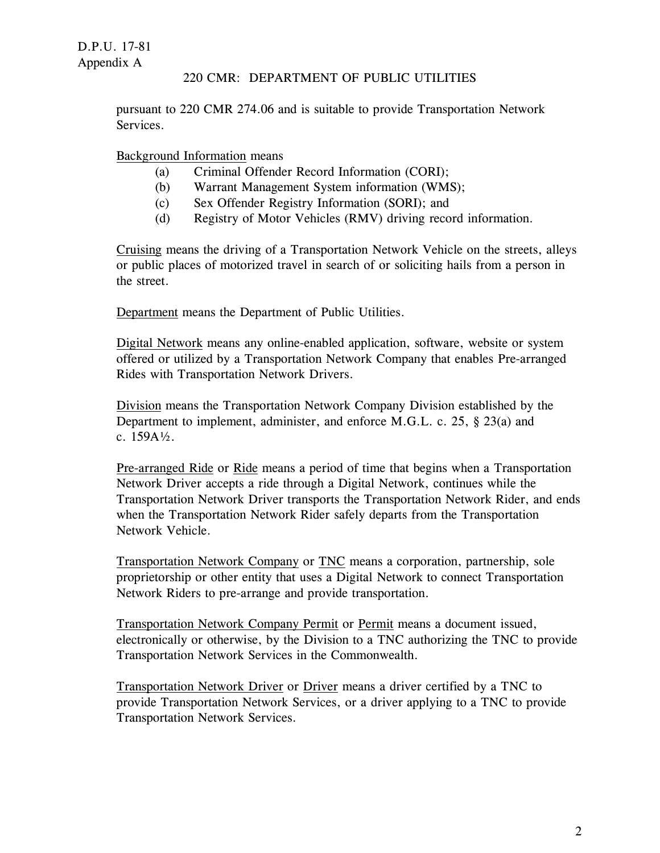pursuant to 220 CMR 274.06 and is suitable to provide Transportation Network Services.

# Background Information means

- (a) Criminal Offender Record Information (CORI);
- (b) Warrant Management System information (WMS);
- (c) Sex Offender Registry Information (SORI); and
- (d) Registry of Motor Vehicles (RMV) driving record information.

Cruising means the driving of a Transportation Network Vehicle on the streets, alleys or public places of motorized travel in search of or soliciting hails from a person in the street.

Department means the Department of Public Utilities.

Digital Network means any online-enabled application, software, website or system offered or utilized by a Transportation Network Company that enables Pre-arranged Rides with Transportation Network Drivers.

Division means the Transportation Network Company Division established by the Department to implement, administer, and enforce M.G.L. c. 25, § 23(a) and c. 159A½.

Pre-arranged Ride or Ride means a period of time that begins when a Transportation Network Driver accepts a ride through a Digital Network, continues while the Transportation Network Driver transports the Transportation Network Rider, and ends when the Transportation Network Rider safely departs from the Transportation Network Vehicle.

Transportation Network Company or TNC means a corporation, partnership, sole proprietorship or other entity that uses a Digital Network to connect Transportation Network Riders to pre-arrange and provide transportation.

Transportation Network Company Permit or Permit means a document issued, electronically or otherwise, by the Division to a TNC authorizing the TNC to provide Transportation Network Services in the Commonwealth.

Transportation Network Driver or Driver means a driver certified by a TNC to provide Transportation Network Services, or a driver applying to a TNC to provide Transportation Network Services.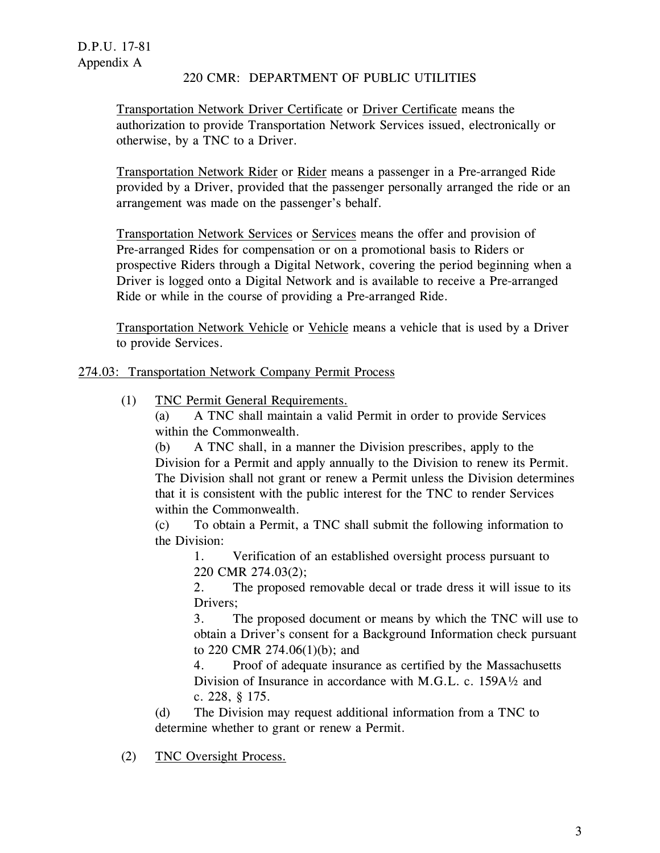Transportation Network Driver Certificate or Driver Certificate means the authorization to provide Transportation Network Services issued, electronically or otherwise, by a TNC to a Driver.

Transportation Network Rider or Rider means a passenger in a Pre-arranged Ride provided by a Driver, provided that the passenger personally arranged the ride or an arrangement was made on the passenger's behalf.

Transportation Network Services or Services means the offer and provision of Pre-arranged Rides for compensation or on a promotional basis to Riders or prospective Riders through a Digital Network, covering the period beginning when a Driver is logged onto a Digital Network and is available to receive a Pre-arranged Ride or while in the course of providing a Pre-arranged Ride.

Transportation Network Vehicle or Vehicle means a vehicle that is used by a Driver to provide Services.

274.03: Transportation Network Company Permit Process

(1) TNC Permit General Requirements.

(a) A TNC shall maintain a valid Permit in order to provide Services within the Commonwealth.

(b) A TNC shall, in a manner the Division prescribes, apply to the Division for a Permit and apply annually to the Division to renew its Permit. The Division shall not grant or renew a Permit unless the Division determines that it is consistent with the public interest for the TNC to render Services within the Commonwealth.

(c) To obtain a Permit, a TNC shall submit the following information to the Division:

1. Verification of an established oversight process pursuant to 220 CMR 274.03(2);

2. The proposed removable decal or trade dress it will issue to its Drivers;

3. The proposed document or means by which the TNC will use to obtain a Driver's consent for a Background Information check pursuant to 220 CMR 274.06(1)(b); and

4. Proof of adequate insurance as certified by the Massachusetts Division of Insurance in accordance with M.G.L. c. 159A½ and c. 228, § 175.

(d) The Division may request additional information from a TNC to determine whether to grant or renew a Permit.

(2) TNC Oversight Process.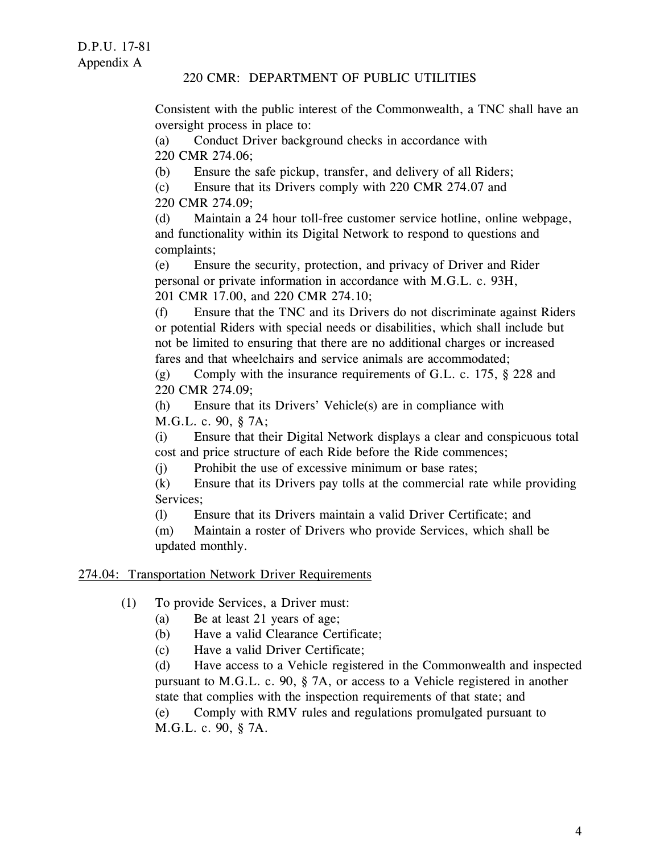Consistent with the public interest of the Commonwealth, a TNC shall have an oversight process in place to:

(a) Conduct Driver background checks in accordance with 220 CMR 274.06;

(b) Ensure the safe pickup, transfer, and delivery of all Riders;

(c) Ensure that its Drivers comply with 220 CMR 274.07 and 220 CMR 274.09;

(d) Maintain a 24 hour toll-free customer service hotline, online webpage, and functionality within its Digital Network to respond to questions and complaints;

(e) Ensure the security, protection, and privacy of Driver and Rider personal or private information in accordance with M.G.L. c. 93H, 201 CMR 17.00, and 220 CMR 274.10;

(f) Ensure that the TNC and its Drivers do not discriminate against Riders or potential Riders with special needs or disabilities, which shall include but not be limited to ensuring that there are no additional charges or increased fares and that wheelchairs and service animals are accommodated;

(g) Comply with the insurance requirements of G.L. c. 175,  $\S$  228 and 220 CMR 274.09;

(h) Ensure that its Drivers' Vehicle(s) are in compliance with M.G.L. c. 90, § 7A;

(i) Ensure that their Digital Network displays a clear and conspicuous total cost and price structure of each Ride before the Ride commences;

(j) Prohibit the use of excessive minimum or base rates;

(k) Ensure that its Drivers pay tolls at the commercial rate while providing Services;

(l) Ensure that its Drivers maintain a valid Driver Certificate; and

(m) Maintain a roster of Drivers who provide Services, which shall be updated monthly.

# 274.04: Transportation Network Driver Requirements

- (1) To provide Services, a Driver must:
	- (a) Be at least 21 years of age;
	- (b) Have a valid Clearance Certificate;
	- (c) Have a valid Driver Certificate;

(d) Have access to a Vehicle registered in the Commonwealth and inspected pursuant to M.G.L. c. 90, § 7A, or access to a Vehicle registered in another state that complies with the inspection requirements of that state; and

(e) Comply with RMV rules and regulations promulgated pursuant to M.G.L. c. 90, § 7A.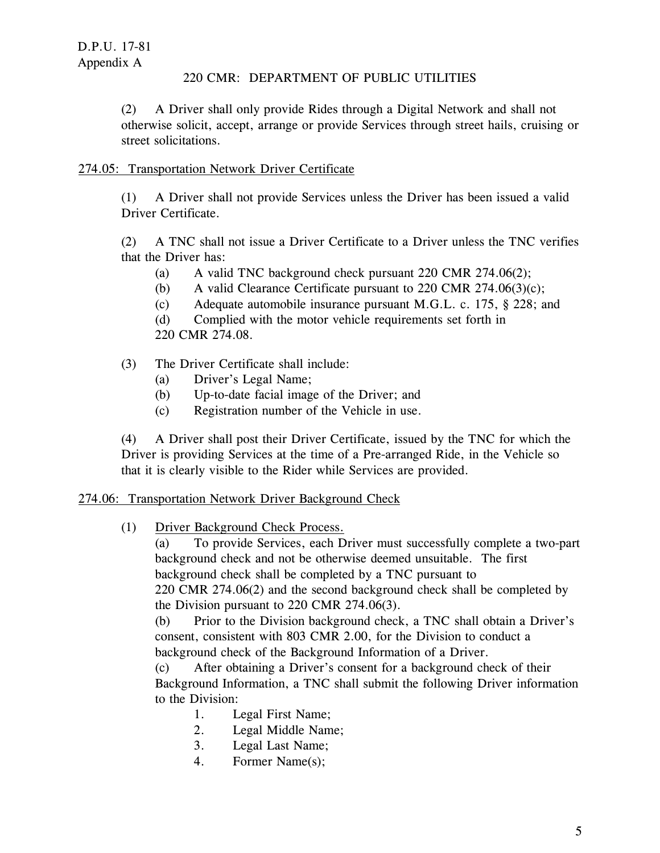(2) A Driver shall only provide Rides through a Digital Network and shall not otherwise solicit, accept, arrange or provide Services through street hails, cruising or street solicitations.

# 274.05: Transportation Network Driver Certificate

(1) A Driver shall not provide Services unless the Driver has been issued a valid Driver Certificate.

(2) A TNC shall not issue a Driver Certificate to a Driver unless the TNC verifies that the Driver has:

- (a) A valid TNC background check pursuant  $220 \text{ CMR } 274.06(2)$ ;
- (b) A valid Clearance Certificate pursuant to 220 CMR 274.06(3)(c);
- (c) Adequate automobile insurance pursuant M.G.L. c. 175, § 228; and

(d) Complied with the motor vehicle requirements set forth in

220 CMR 274.08.

# (3) The Driver Certificate shall include:

- (a) Driver's Legal Name;
- (b) Up-to-date facial image of the Driver; and
- (c) Registration number of the Vehicle in use.

(4) A Driver shall post their Driver Certificate, issued by the TNC for which the Driver is providing Services at the time of a Pre-arranged Ride, in the Vehicle so that it is clearly visible to the Rider while Services are provided.

#### 274.06: Transportation Network Driver Background Check

(1) Driver Background Check Process.

(a) To provide Services, each Driver must successfully complete a two-part background check and not be otherwise deemed unsuitable. The first background check shall be completed by a TNC pursuant to 220 CMR 274.06(2) and the second background check shall be completed by the Division pursuant to 220 CMR 274.06(3).

(b) Prior to the Division background check, a TNC shall obtain a Driver's consent, consistent with 803 CMR 2.00, for the Division to conduct a background check of the Background Information of a Driver.

(c) After obtaining a Driver's consent for a background check of their Background Information, a TNC shall submit the following Driver information to the Division:

- 1. Legal First Name;
- 2. Legal Middle Name;
- 3. Legal Last Name;
- 4. Former Name(s);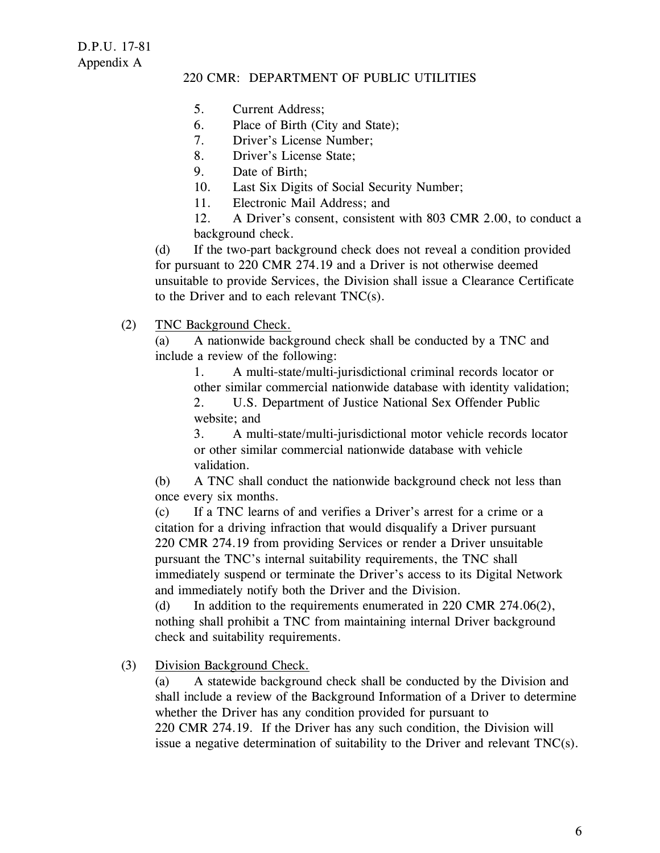- 5. Current Address;
- 6. Place of Birth (City and State);
- 7. Driver's License Number;
- 8. Driver's License State;
- 9. Date of Birth;
- 10. Last Six Digits of Social Security Number;
- 11. Electronic Mail Address; and

12. A Driver's consent, consistent with 803 CMR 2.00, to conduct a background check.

(d) If the two-part background check does not reveal a condition provided for pursuant to 220 CMR 274.19 and a Driver is not otherwise deemed unsuitable to provide Services, the Division shall issue a Clearance Certificate to the Driver and to each relevant TNC(s).

(2) TNC Background Check.

(a) A nationwide background check shall be conducted by a TNC and include a review of the following:

1. A multi-state/multi-jurisdictional criminal records locator or other similar commercial nationwide database with identity validation;

2. U.S. Department of Justice National Sex Offender Public website; and

3. A multi-state/multi-jurisdictional motor vehicle records locator or other similar commercial nationwide database with vehicle validation.

(b) A TNC shall conduct the nationwide background check not less than once every six months.

(c) If a TNC learns of and verifies a Driver's arrest for a crime or a citation for a driving infraction that would disqualify a Driver pursuant 220 CMR 274.19 from providing Services or render a Driver unsuitable pursuant the TNC's internal suitability requirements, the TNC shall immediately suspend or terminate the Driver's access to its Digital Network and immediately notify both the Driver and the Division.

(d) In addition to the requirements enumerated in 220 CMR 274.06(2), nothing shall prohibit a TNC from maintaining internal Driver background check and suitability requirements.

(3) Division Background Check.

(a) A statewide background check shall be conducted by the Division and shall include a review of the Background Information of a Driver to determine whether the Driver has any condition provided for pursuant to 220 CMR 274.19. If the Driver has any such condition, the Division will issue a negative determination of suitability to the Driver and relevant  $TNC(s)$ .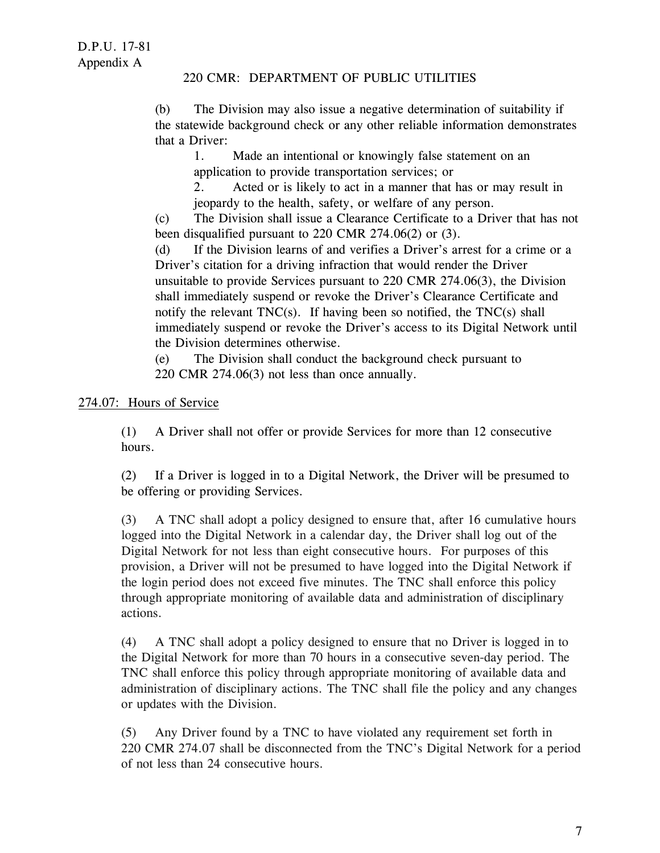(b) The Division may also issue a negative determination of suitability if the statewide background check or any other reliable information demonstrates that a Driver:

1. Made an intentional or knowingly false statement on an application to provide transportation services; or

2. Acted or is likely to act in a manner that has or may result in jeopardy to the health, safety, or welfare of any person.

(c) The Division shall issue a Clearance Certificate to a Driver that has not been disqualified pursuant to 220 CMR 274.06(2) or (3).

(d) If the Division learns of and verifies a Driver's arrest for a crime or a Driver's citation for a driving infraction that would render the Driver unsuitable to provide Services pursuant to 220 CMR 274.06(3), the Division shall immediately suspend or revoke the Driver's Clearance Certificate and notify the relevant  $TNC(s)$ . If having been so notified, the  $TNC(s)$  shall immediately suspend or revoke the Driver's access to its Digital Network until the Division determines otherwise.

(e) The Division shall conduct the background check pursuant to 220 CMR 274.06(3) not less than once annually.

# 274.07: Hours of Service

(1) A Driver shall not offer or provide Services for more than 12 consecutive hours.

(2) If a Driver is logged in to a Digital Network, the Driver will be presumed to be offering or providing Services.

(3) A TNC shall adopt a policy designed to ensure that, after 16 cumulative hours logged into the Digital Network in a calendar day, the Driver shall log out of the Digital Network for not less than eight consecutive hours. For purposes of this provision, a Driver will not be presumed to have logged into the Digital Network if the login period does not exceed five minutes. The TNC shall enforce this policy through appropriate monitoring of available data and administration of disciplinary actions.

(4) A TNC shall adopt a policy designed to ensure that no Driver is logged in to the Digital Network for more than 70 hours in a consecutive seven-day period. The TNC shall enforce this policy through appropriate monitoring of available data and administration of disciplinary actions. The TNC shall file the policy and any changes or updates with the Division.

(5) Any Driver found by a TNC to have violated any requirement set forth in 220 CMR 274.07 shall be disconnected from the TNC's Digital Network for a period of not less than 24 consecutive hours.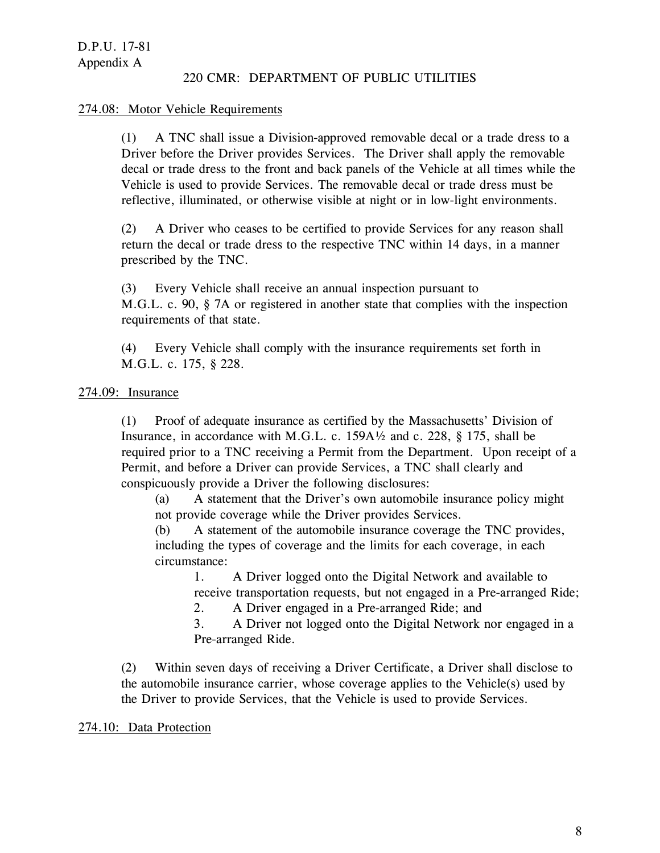#### 274.08: Motor Vehicle Requirements

(1) A TNC shall issue a Division-approved removable decal or a trade dress to a Driver before the Driver provides Services. The Driver shall apply the removable decal or trade dress to the front and back panels of the Vehicle at all times while the Vehicle is used to provide Services. The removable decal or trade dress must be reflective, illuminated, or otherwise visible at night or in low-light environments.

(2) A Driver who ceases to be certified to provide Services for any reason shall return the decal or trade dress to the respective TNC within 14 days, in a manner prescribed by the TNC.

(3) Every Vehicle shall receive an annual inspection pursuant to M.G.L. c. 90, § 7A or registered in another state that complies with the inspection requirements of that state.

(4) Every Vehicle shall comply with the insurance requirements set forth in M.G.L. c. 175, § 228.

# 274.09: Insurance

(1) Proof of adequate insurance as certified by the Massachusetts' Division of Insurance, in accordance with M.G.L. c. 159A½ and c. 228, § 175, shall be required prior to a TNC receiving a Permit from the Department. Upon receipt of a Permit, and before a Driver can provide Services, a TNC shall clearly and conspicuously provide a Driver the following disclosures:

(a) A statement that the Driver's own automobile insurance policy might not provide coverage while the Driver provides Services.

(b) A statement of the automobile insurance coverage the TNC provides, including the types of coverage and the limits for each coverage, in each circumstance:

1. A Driver logged onto the Digital Network and available to receive transportation requests, but not engaged in a Pre-arranged Ride;

2. A Driver engaged in a Pre-arranged Ride; and

3. A Driver not logged onto the Digital Network nor engaged in a Pre-arranged Ride.

(2) Within seven days of receiving a Driver Certificate, a Driver shall disclose to the automobile insurance carrier, whose coverage applies to the Vehicle(s) used by the Driver to provide Services, that the Vehicle is used to provide Services.

#### 274.10: Data Protection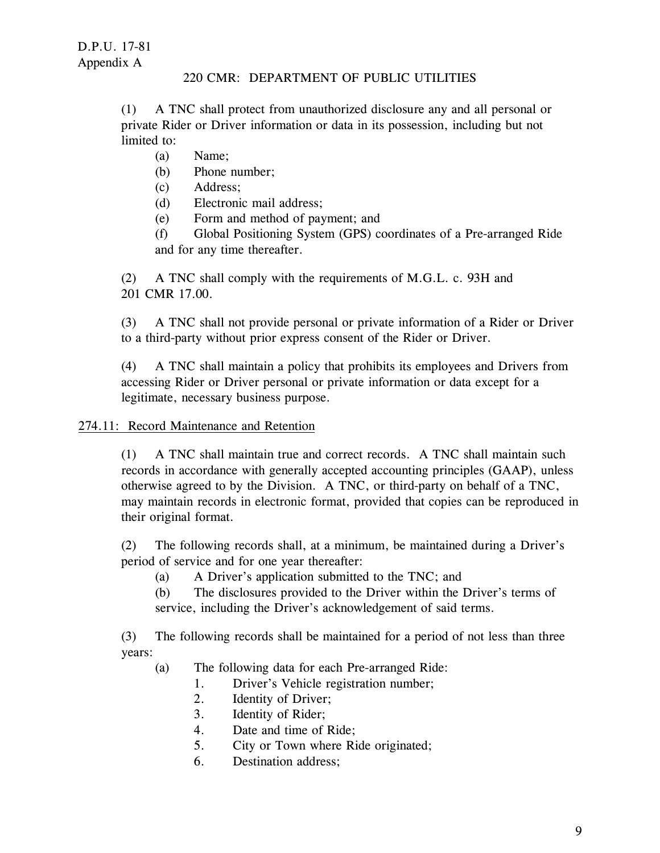(1) A TNC shall protect from unauthorized disclosure any and all personal or private Rider or Driver information or data in its possession, including but not limited to:

- (a) Name;
- (b) Phone number;
- (c) Address;
- (d) Electronic mail address;
- (e) Form and method of payment; and

(f) Global Positioning System (GPS) coordinates of a Pre-arranged Ride and for any time thereafter.

(2) A TNC shall comply with the requirements of M.G.L. c. 93H and 201 CMR 17.00.

(3) A TNC shall not provide personal or private information of a Rider or Driver to a third-party without prior express consent of the Rider or Driver.

(4) A TNC shall maintain a policy that prohibits its employees and Drivers from accessing Rider or Driver personal or private information or data except for a legitimate, necessary business purpose.

# 274.11: Record Maintenance and Retention

(1) A TNC shall maintain true and correct records. A TNC shall maintain such records in accordance with generally accepted accounting principles (GAAP), unless otherwise agreed to by the Division. A TNC, or third-party on behalf of a TNC, may maintain records in electronic format, provided that copies can be reproduced in their original format.

(2) The following records shall, at a minimum, be maintained during a Driver's period of service and for one year thereafter:

(a) A Driver's application submitted to the TNC; and

(b) The disclosures provided to the Driver within the Driver's terms of service, including the Driver's acknowledgement of said terms.

(3) The following records shall be maintained for a period of not less than three years:

- (a) The following data for each Pre-arranged Ride:
	- 1. Driver's Vehicle registration number;
	- 2. Identity of Driver;
	- 3. Identity of Rider;
	- 4. Date and time of Ride;
	- 5. City or Town where Ride originated;
	- 6. Destination address;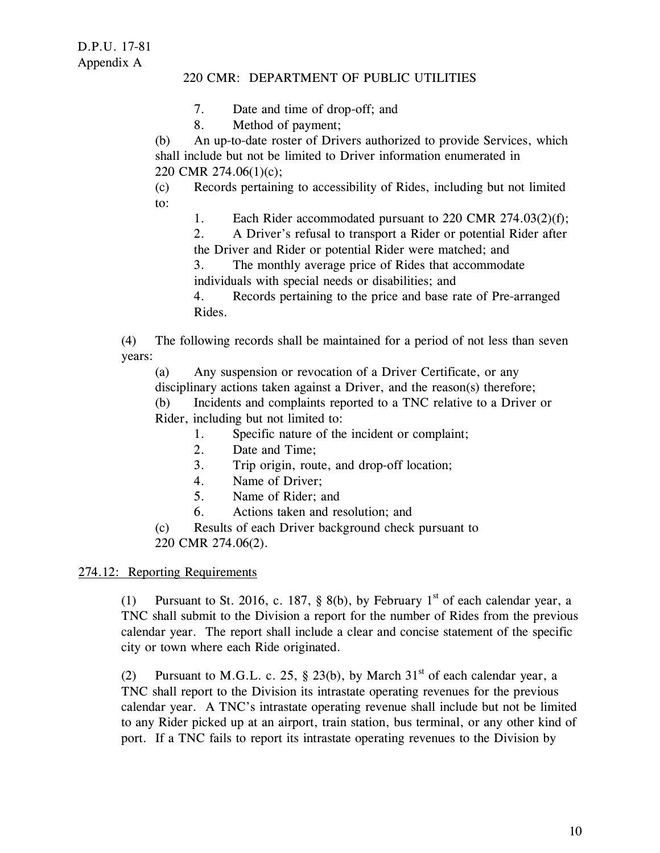- 7. Date and time of drop-off; and
- 8. Method of payment;

(b) An up-to-date roster of Drivers authorized to provide Services, which shall include but not be limited to Driver information enumerated in 220 CMR 274.06(1)(c);

(c) Records pertaining to accessibility of Rides, including but not limited to:

1. Each Rider accommodated pursuant to 220 CMR 274.03(2)(f);

2. A Driver's refusal to transport a Rider or potential Rider after the Driver and Rider or potential Rider were matched; and

3. The monthly average price of Rides that accommodate individuals with special needs or disabilities; and

4. Records pertaining to the price and base rate of Pre-arranged Rides.

(4) The following records shall be maintained for a period of not less than seven years:

(a) Any suspension or revocation of a Driver Certificate, or any

disciplinary actions taken against a Driver, and the reason(s) therefore;

(b) Incidents and complaints reported to a TNC relative to a Driver or Rider, including but not limited to:

- 1. Specific nature of the incident or complaint;
- 2. Date and Time;
- 3. Trip origin, route, and drop-off location;
- 4. Name of Driver;
- 5. Name of Rider; and
- 6. Actions taken and resolution; and

(c) Results of each Driver background check pursuant to 220 CMR 274.06(2).

# 274.12: Reporting Requirements

(1) Pursuant to St. 2016, c. 187, § 8(b), by February 1<sup>st</sup> of each calendar year, a TNC shall submit to the Division a report for the number of Rides from the previous calendar year. The report shall include a clear and concise statement of the specific city or town where each Ride originated.

(2) Pursuant to M.G.L. c. 25, § 23(b), by March  $31<sup>st</sup>$  of each calendar year, a TNC shall report to the Division its intrastate operating revenues for the previous calendar year. A TNC's intrastate operating revenue shall include but not be limited to any Rider picked up at an airport, train station, bus terminal, or any other kind of port. If a TNC fails to report its intrastate operating revenues to the Division by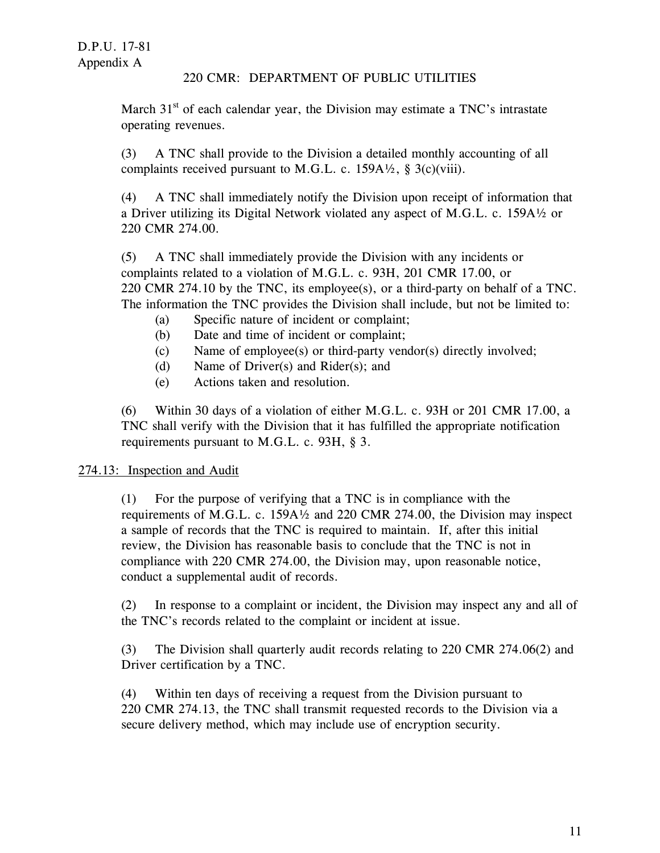March  $31<sup>st</sup>$  of each calendar year, the Division may estimate a TNC's intrastate operating revenues.

(3) A TNC shall provide to the Division a detailed monthly accounting of all complaints received pursuant to M.G.L. c. 159A $\frac{1}{2}$ , § 3(c)(viii).

(4) A TNC shall immediately notify the Division upon receipt of information that a Driver utilizing its Digital Network violated any aspect of M.G.L. c. 159A½ or 220 CMR 274.00.

(5) A TNC shall immediately provide the Division with any incidents or complaints related to a violation of M.G.L. c. 93H, 201 CMR 17.00, or 220 CMR 274.10 by the TNC, its employee(s), or a third-party on behalf of a TNC. The information the TNC provides the Division shall include, but not be limited to:

- (a) Specific nature of incident or complaint;
- (b) Date and time of incident or complaint;
- (c) Name of employee(s) or third-party vendor(s) directly involved;
- (d) Name of Driver(s) and Rider(s); and
- (e) Actions taken and resolution.

(6) Within 30 days of a violation of either M.G.L. c. 93H or 201 CMR 17.00, a TNC shall verify with the Division that it has fulfilled the appropriate notification requirements pursuant to M.G.L. c. 93H, § 3.

# 274.13: Inspection and Audit

(1) For the purpose of verifying that a TNC is in compliance with the requirements of M.G.L. c. 159A½ and 220 CMR 274.00, the Division may inspect a sample of records that the TNC is required to maintain. If, after this initial review, the Division has reasonable basis to conclude that the TNC is not in compliance with 220 CMR 274.00, the Division may, upon reasonable notice, conduct a supplemental audit of records.

(2) In response to a complaint or incident, the Division may inspect any and all of the TNC's records related to the complaint or incident at issue.

(3) The Division shall quarterly audit records relating to 220 CMR 274.06(2) and Driver certification by a TNC.

(4) Within ten days of receiving a request from the Division pursuant to 220 CMR 274.13, the TNC shall transmit requested records to the Division via a secure delivery method, which may include use of encryption security.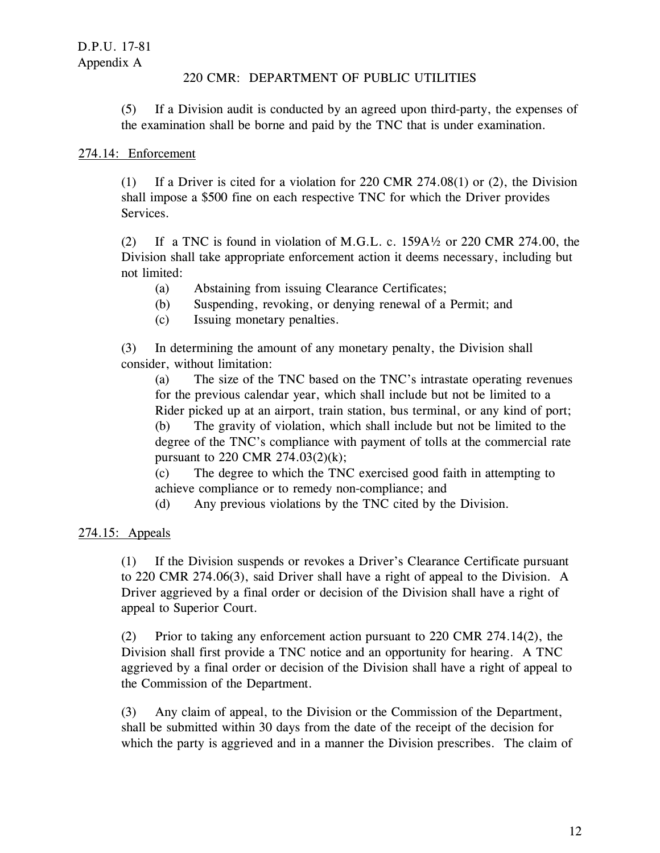(5) If a Division audit is conducted by an agreed upon third-party, the expenses of the examination shall be borne and paid by the TNC that is under examination.

# 274.14: Enforcement

(1) If a Driver is cited for a violation for 220 CMR 274.08(1) or (2), the Division shall impose a \$500 fine on each respective TNC for which the Driver provides Services.

(2) If a TNC is found in violation of M.G.L. c. 159A½ or 220 CMR 274.00, the Division shall take appropriate enforcement action it deems necessary, including but not limited:

- (a) Abstaining from issuing Clearance Certificates;
- (b) Suspending, revoking, or denying renewal of a Permit; and
- (c) Issuing monetary penalties.

(3) In determining the amount of any monetary penalty, the Division shall consider, without limitation:

(a) The size of the TNC based on the TNC's intrastate operating revenues for the previous calendar year, which shall include but not be limited to a Rider picked up at an airport, train station, bus terminal, or any kind of port;

(b) The gravity of violation, which shall include but not be limited to the degree of the TNC's compliance with payment of tolls at the commercial rate pursuant to 220 CMR 274.03(2)(k);

(c) The degree to which the TNC exercised good faith in attempting to achieve compliance or to remedy non-compliance; and

(d) Any previous violations by the TNC cited by the Division.

# 274.15: Appeals

(1) If the Division suspends or revokes a Driver's Clearance Certificate pursuant to 220 CMR 274.06(3), said Driver shall have a right of appeal to the Division. A Driver aggrieved by a final order or decision of the Division shall have a right of appeal to Superior Court.

(2) Prior to taking any enforcement action pursuant to 220 CMR 274.14(2), the Division shall first provide a TNC notice and an opportunity for hearing. A TNC aggrieved by a final order or decision of the Division shall have a right of appeal to the Commission of the Department.

(3) Any claim of appeal, to the Division or the Commission of the Department, shall be submitted within 30 days from the date of the receipt of the decision for which the party is aggrieved and in a manner the Division prescribes. The claim of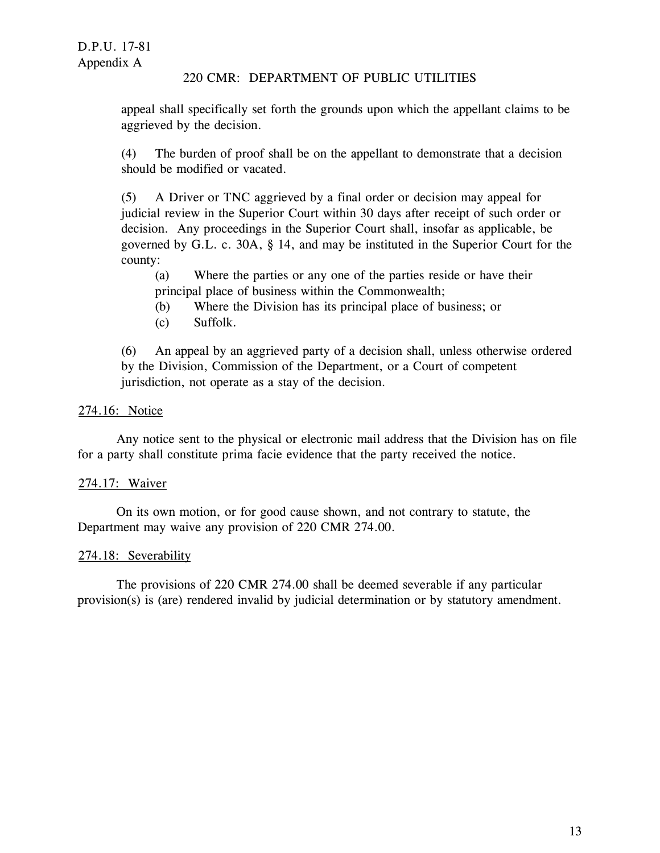appeal shall specifically set forth the grounds upon which the appellant claims to be aggrieved by the decision.

(4) The burden of proof shall be on the appellant to demonstrate that a decision should be modified or vacated.

(5) A Driver or TNC aggrieved by a final order or decision may appeal for judicial review in the Superior Court within 30 days after receipt of such order or decision. Any proceedings in the Superior Court shall, insofar as applicable, be governed by G.L. c. 30A, § 14, and may be instituted in the Superior Court for the county:

- (a) Where the parties or any one of the parties reside or have their principal place of business within the Commonwealth;
- (b) Where the Division has its principal place of business; or
- (c) Suffolk.

(6) An appeal by an aggrieved party of a decision shall, unless otherwise ordered by the Division, Commission of the Department, or a Court of competent jurisdiction, not operate as a stay of the decision.

# 274.16: Notice

Any notice sent to the physical or electronic mail address that the Division has on file for a party shall constitute prima facie evidence that the party received the notice.

# 274.17: Waiver

On its own motion, or for good cause shown, and not contrary to statute, the Department may waive any provision of 220 CMR 274.00.

#### 274.18: Severability

The provisions of 220 CMR 274.00 shall be deemed severable if any particular provision(s) is (are) rendered invalid by judicial determination or by statutory amendment.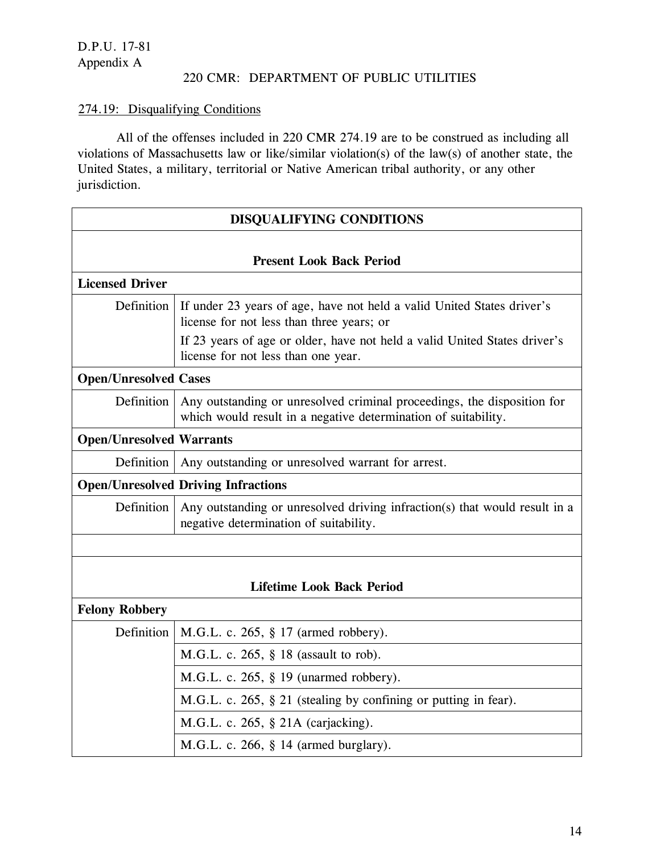# 274.19: Disqualifying Conditions

All of the offenses included in 220 CMR 274.19 are to be construed as including all violations of Massachusetts law or like/similar violation(s) of the law(s) of another state, the United States, a military, territorial or Native American tribal authority, or any other jurisdiction.

| <b>DISQUALIFYING CONDITIONS</b>            |                                                                                                                                                                                                  |  |  |
|--------------------------------------------|--------------------------------------------------------------------------------------------------------------------------------------------------------------------------------------------------|--|--|
|                                            |                                                                                                                                                                                                  |  |  |
|                                            | <b>Present Look Back Period</b>                                                                                                                                                                  |  |  |
| <b>Licensed Driver</b>                     |                                                                                                                                                                                                  |  |  |
| Definition                                 | If under 23 years of age, have not held a valid United States driver's<br>license for not less than three years; or<br>If 23 years of age or older, have not held a valid United States driver's |  |  |
|                                            | license for not less than one year.                                                                                                                                                              |  |  |
| <b>Open/Unresolved Cases</b>               |                                                                                                                                                                                                  |  |  |
| Definition                                 | Any outstanding or unresolved criminal proceedings, the disposition for<br>which would result in a negative determination of suitability.                                                        |  |  |
| <b>Open/Unresolved Warrants</b>            |                                                                                                                                                                                                  |  |  |
| Definition                                 | Any outstanding or unresolved warrant for arrest.                                                                                                                                                |  |  |
| <b>Open/Unresolved Driving Infractions</b> |                                                                                                                                                                                                  |  |  |
| Definition                                 | Any outstanding or unresolved driving infraction(s) that would result in a<br>negative determination of suitability.                                                                             |  |  |
|                                            |                                                                                                                                                                                                  |  |  |
|                                            |                                                                                                                                                                                                  |  |  |
|                                            | <b>Lifetime Look Back Period</b>                                                                                                                                                                 |  |  |
| <b>Felony Robbery</b>                      |                                                                                                                                                                                                  |  |  |
| Definition                                 | M.G.L. c. 265, § 17 (armed robbery).                                                                                                                                                             |  |  |
|                                            | M.G.L. c. 265, § 18 (assault to rob).                                                                                                                                                            |  |  |
|                                            | M.G.L. c. $265$ , $\S$ 19 (unarmed robbery).                                                                                                                                                     |  |  |
|                                            | M.G.L. c. 265, § 21 (stealing by confining or putting in fear).                                                                                                                                  |  |  |
|                                            | M.G.L. c. 265, § 21A (carjacking).                                                                                                                                                               |  |  |
|                                            | M.G.L. c. 266, § 14 (armed burglary).                                                                                                                                                            |  |  |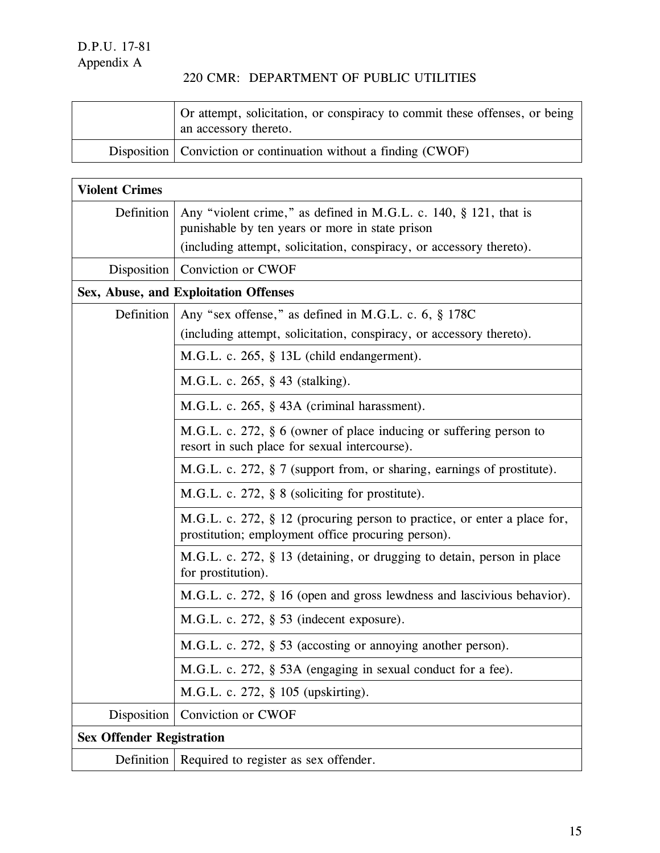Ï

# 220 CMR: DEPARTMENT OF PUBLIC UTILITIES

| Or attempt, solicitation, or conspiracy to commit these offenses, or being<br>an accessory thereto. |
|-----------------------------------------------------------------------------------------------------|
| Disposition $\vert$ Conviction or continuation without a finding (CWOF)                             |

| <b>Violent Crimes</b>            |                                                                                                                                |
|----------------------------------|--------------------------------------------------------------------------------------------------------------------------------|
| Definition                       | Any "violent crime," as defined in M.G.L. c. 140, § 121, that is<br>punishable by ten years or more in state prison            |
|                                  | (including attempt, solicitation, conspiracy, or accessory thereto).                                                           |
| Disposition                      | Conviction or CWOF                                                                                                             |
|                                  | Sex, Abuse, and Exploitation Offenses                                                                                          |
| Definition                       | Any "sex offense," as defined in M.G.L. c. 6, § 178C                                                                           |
|                                  | (including attempt, solicitation, conspiracy, or accessory thereto).                                                           |
|                                  | M.G.L. c. 265, § 13L (child endangerment).                                                                                     |
|                                  | M.G.L. c. 265, § 43 (stalking).                                                                                                |
|                                  | M.G.L. c. 265, § 43A (criminal harassment).                                                                                    |
|                                  | M.G.L. c. 272, § 6 (owner of place inducing or suffering person to<br>resort in such place for sexual intercourse).            |
|                                  | M.G.L. c. 272, § 7 (support from, or sharing, earnings of prostitute).                                                         |
|                                  | M.G.L. c. 272, § 8 (soliciting for prostitute).                                                                                |
|                                  | M.G.L. c. 272, § 12 (procuring person to practice, or enter a place for,<br>prostitution; employment office procuring person). |
|                                  | M.G.L. c. 272, § 13 (detaining, or drugging to detain, person in place<br>for prostitution).                                   |
|                                  | M.G.L. c. 272, § 16 (open and gross lewdness and lascivious behavior).                                                         |
|                                  | M.G.L. c. 272, § 53 (indecent exposure).                                                                                       |
|                                  | M.G.L. c. 272, § 53 (accosting or annoying another person).                                                                    |
|                                  | M.G.L. c. 272, § 53A (engaging in sexual conduct for a fee).                                                                   |
|                                  | M.G.L. c. 272, § 105 (upskirting).                                                                                             |
| Disposition                      | Conviction or CWOF                                                                                                             |
| <b>Sex Offender Registration</b> |                                                                                                                                |
| Definition                       | Required to register as sex offender.                                                                                          |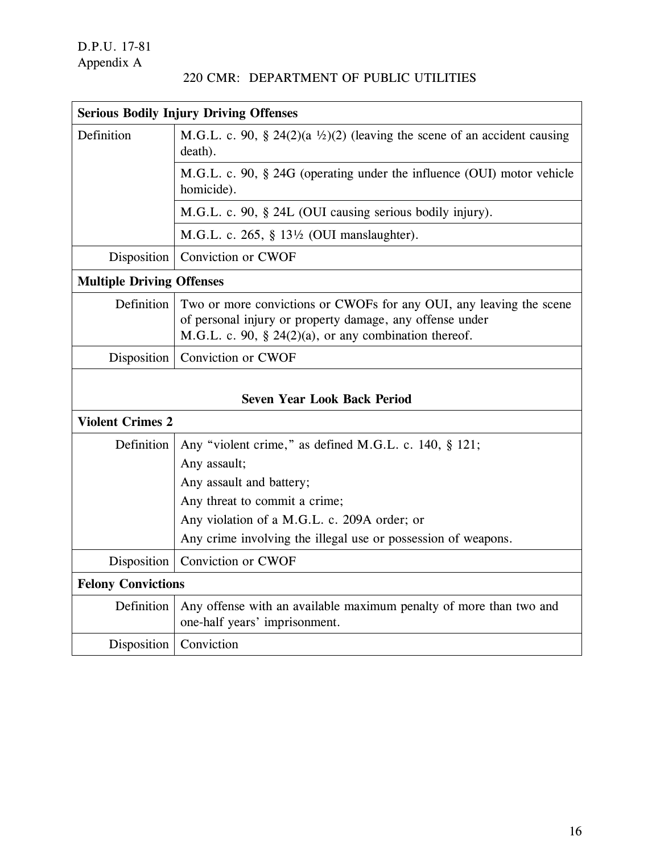|  | 220 CMR: DEPARTMENT OF PUBLIC UTILITIES |  |  |
|--|-----------------------------------------|--|--|
|--|-----------------------------------------|--|--|

| <b>Serious Bodily Injury Driving Offenses</b>                 |                                                                                                                                                                                          |
|---------------------------------------------------------------|------------------------------------------------------------------------------------------------------------------------------------------------------------------------------------------|
| Definition                                                    | M.G.L. c. 90, § 24(2)(a $\frac{1}{2}$ )(2) (leaving the scene of an accident causing<br>death).                                                                                          |
|                                                               | M.G.L. c. 90, § 24G (operating under the influence (OUI) motor vehicle<br>homicide).                                                                                                     |
|                                                               | M.G.L. c. 90, § 24L (OUI causing serious bodily injury).                                                                                                                                 |
|                                                               | M.G.L. c. 265, $\S$ 13 <sup>1</sup> / <sub>2</sub> (OUI manslaughter).                                                                                                                   |
| Disposition                                                   | Conviction or CWOF                                                                                                                                                                       |
| <b>Multiple Driving Offenses</b>                              |                                                                                                                                                                                          |
| Definition                                                    | Two or more convictions or CWOFs for any OUI, any leaving the scene<br>of personal injury or property damage, any offense under<br>M.G.L. c. 90, § 24(2)(a), or any combination thereof. |
| Disposition                                                   | Conviction or CWOF                                                                                                                                                                       |
| <b>Seven Year Look Back Period</b><br><b>Violent Crimes 2</b> |                                                                                                                                                                                          |
| Definition                                                    | Any "violent crime," as defined M.G.L. c. 140, § 121;                                                                                                                                    |
|                                                               | Any assault;                                                                                                                                                                             |
|                                                               | Any assault and battery;                                                                                                                                                                 |
|                                                               | Any threat to commit a crime;                                                                                                                                                            |
|                                                               | Any violation of a M.G.L. c. 209A order; or                                                                                                                                              |
|                                                               | Any crime involving the illegal use or possession of weapons.                                                                                                                            |
| Disposition                                                   | Conviction or CWOF                                                                                                                                                                       |
| <b>Felony Convictions</b>                                     |                                                                                                                                                                                          |
| Definition                                                    | Any offense with an available maximum penalty of more than two and<br>one-half years' imprisonment.                                                                                      |
| Disposition                                                   | Conviction                                                                                                                                                                               |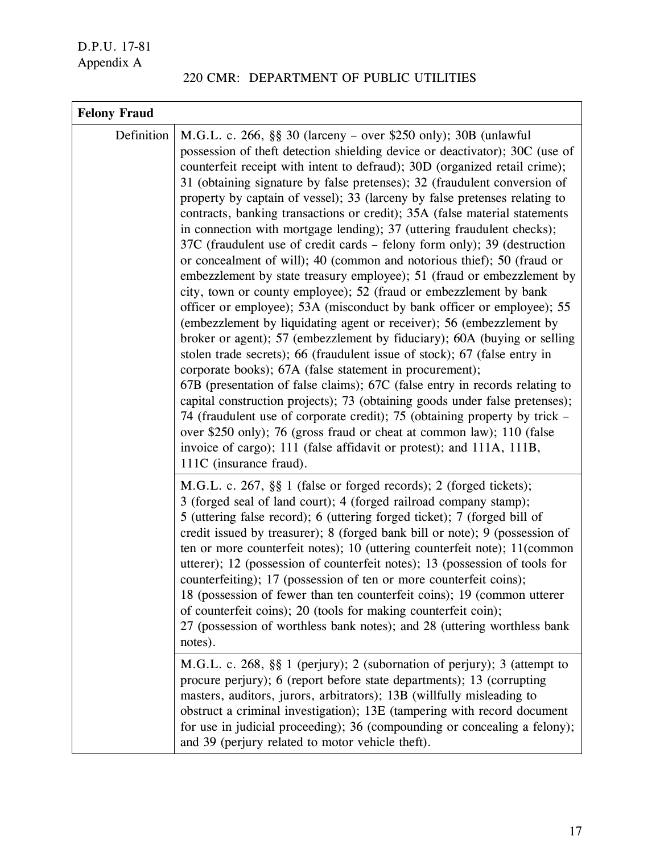|  | 220 CMR: DEPARTMENT OF PUBLIC UTILITIES |  |  |
|--|-----------------------------------------|--|--|
|--|-----------------------------------------|--|--|

| <b>Felony Fraud</b> |                                                                                                                                                                                                                                                                                                                                                                                                                                                                                                                                                                                                                                                                                                                                                                                                                                                                                                                                                                                                                                                                                                                                                                                                                                                                                                                                                                                                                                                                                                                                                                                                                                                    |
|---------------------|----------------------------------------------------------------------------------------------------------------------------------------------------------------------------------------------------------------------------------------------------------------------------------------------------------------------------------------------------------------------------------------------------------------------------------------------------------------------------------------------------------------------------------------------------------------------------------------------------------------------------------------------------------------------------------------------------------------------------------------------------------------------------------------------------------------------------------------------------------------------------------------------------------------------------------------------------------------------------------------------------------------------------------------------------------------------------------------------------------------------------------------------------------------------------------------------------------------------------------------------------------------------------------------------------------------------------------------------------------------------------------------------------------------------------------------------------------------------------------------------------------------------------------------------------------------------------------------------------------------------------------------------------|
| Definition          | M.G.L. c. 266, §§ 30 (larceny – over \$250 only); 30B (unlawful<br>possession of theft detection shielding device or deactivator); 30C (use of<br>counterfeit receipt with intent to defraud); 30D (organized retail crime);<br>31 (obtaining signature by false pretenses); 32 (fraudulent conversion of<br>property by captain of vessel); 33 (larceny by false pretenses relating to<br>contracts, banking transactions or credit); 35A (false material statements<br>in connection with mortgage lending); 37 (uttering fraudulent checks);<br>37C (fraudulent use of credit cards - felony form only); 39 (destruction<br>or concealment of will); 40 (common and notorious thief); 50 (fraud or<br>embezzlement by state treasury employee); 51 (fraud or embezzlement by<br>city, town or county employee); 52 (fraud or embezzlement by bank<br>officer or employee); 53A (misconduct by bank officer or employee); 55<br>(embezzlement by liquidating agent or receiver); 56 (embezzlement by<br>broker or agent); 57 (embezzlement by fiduciary); 60A (buying or selling<br>stolen trade secrets); 66 (fraudulent issue of stock); 67 (false entry in<br>corporate books); 67A (false statement in procurement);<br>67B (presentation of false claims); 67C (false entry in records relating to<br>capital construction projects); 73 (obtaining goods under false pretenses);<br>74 (fraudulent use of corporate credit); 75 (obtaining property by trick –<br>over \$250 only); 76 (gross fraud or cheat at common law); 110 (false<br>invoice of cargo); 111 (false affidavit or protest); and 111A, 111B,<br>111C (insurance fraud). |
|                     | M.G.L. c. 267, §§ 1 (false or forged records); 2 (forged tickets);<br>3 (forged seal of land court); 4 (forged railroad company stamp);<br>5 (uttering false record); 6 (uttering forged ticket); 7 (forged bill of<br>credit issued by treasurer); 8 (forged bank bill or note); 9 (possession of<br>ten or more counterfeit notes); 10 (uttering counterfeit note); 11 (common<br>utterer); 12 (possession of counterfeit notes); 13 (possession of tools for<br>counterfeiting); 17 (possession of ten or more counterfeit coins);<br>18 (possession of fewer than ten counterfeit coins); 19 (common utterer<br>of counterfeit coins); 20 (tools for making counterfeit coin);<br>27 (possession of worthless bank notes); and 28 (uttering worthless bank<br>notes).<br>M.G.L. c. 268, §§ 1 (perjury); 2 (subornation of perjury); 3 (attempt to<br>procure perjury); 6 (report before state departments); 13 (corrupting<br>masters, auditors, jurors, arbitrators); 13B (willfully misleading to<br>obstruct a criminal investigation); 13E (tampering with record document<br>for use in judicial proceeding); 36 (compounding or concealing a felony);<br>and 39 (perjury related to motor vehicle theft).                                                                                                                                                                                                                                                                                                                                                                                                                                |